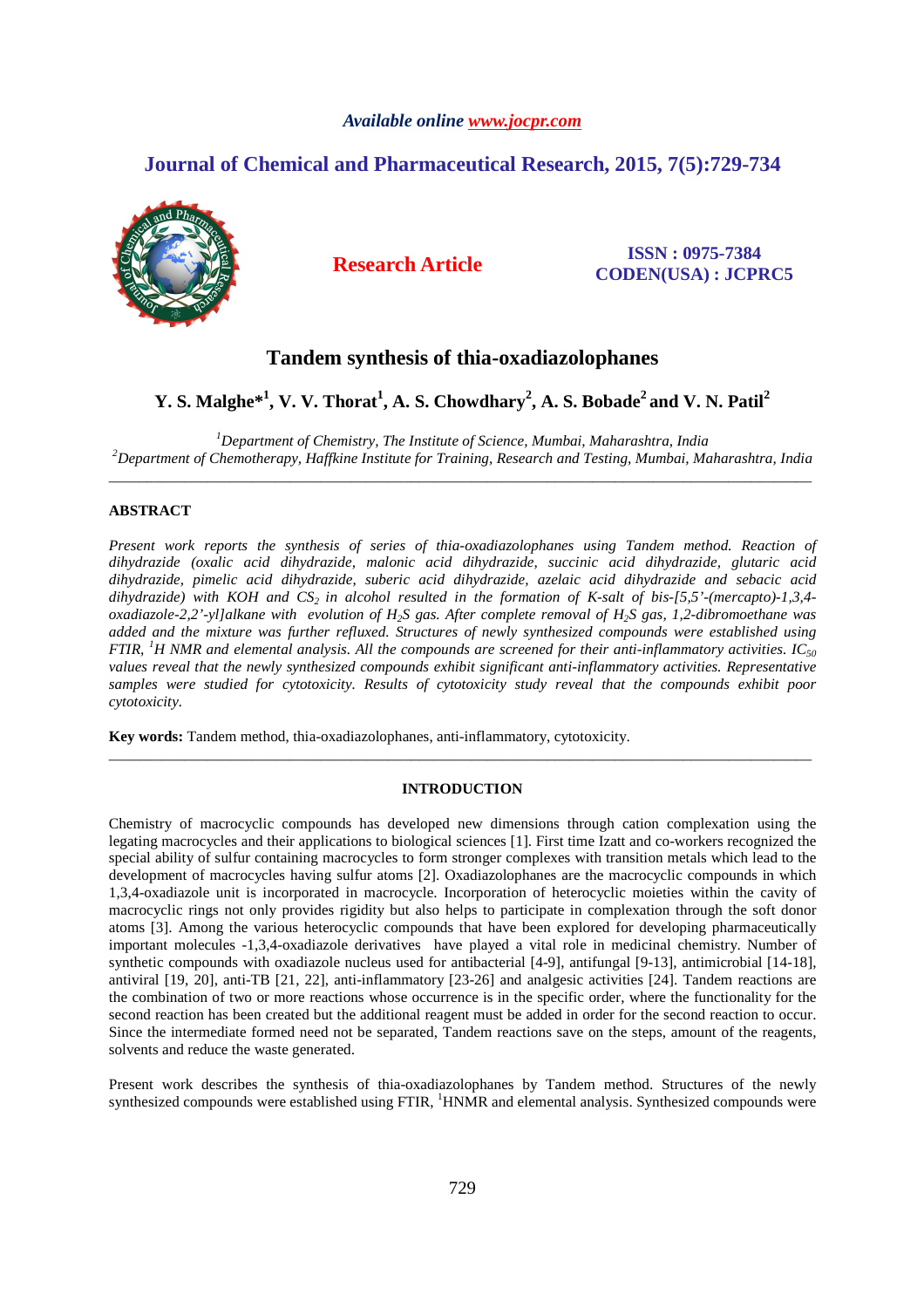# *Available online www.jocpr.com*

# **Journal of Chemical and Pharmaceutical Research, 2015, 7(5):729-734**



# **Research Article ISSN : 0975-7384 CODEN(USA) : JCPRC5**

# **Tandem synthesis of thia-oxadiazolophanes**

**Y. S. Malghe\*<sup>1</sup> , V. V. Thorat<sup>1</sup> , A. S. Chowdhary<sup>2</sup> , A. S. Bobade<sup>2</sup>and V. N. Patil<sup>2</sup>**

*<sup>1</sup>Department of Chemistry, The Institute of Science, Mumbai, Maharashtra, India <sup>2</sup>Department of Chemotherapy, Haffkine Institute for Training, Research and Testing, Mumbai, Maharashtra, India*  \_\_\_\_\_\_\_\_\_\_\_\_\_\_\_\_\_\_\_\_\_\_\_\_\_\_\_\_\_\_\_\_\_\_\_\_\_\_\_\_\_\_\_\_\_\_\_\_\_\_\_\_\_\_\_\_\_\_\_\_\_\_\_\_\_\_\_\_\_\_\_\_\_\_\_\_\_\_\_\_\_\_\_\_\_\_\_\_\_\_\_\_\_

# **ABSTRACT**

*Present work reports the synthesis of series of thia-oxadiazolophanes using Tandem method. Reaction of dihydrazide (oxalic acid dihydrazide, malonic acid dihydrazide, succinic acid dihydrazide, glutaric acid dihydrazide, pimelic acid dihydrazide, suberic acid dihydrazide, azelaic acid dihydrazide and sebacic acid dihydrazide) with KOH and CS2 in alcohol resulted in the formation of K-salt of bis-[5,5'-(mercapto)-1,3,4 oxadiazole-2,2'-yl]alkane with evolution of H2S gas. After complete removal of H2S gas, 1,2-dibromoethane was added and the mixture was further refluxed. Structures of newly synthesized compounds were established using FTIR, <sup>1</sup>H NMR and elemental analysis. All the compounds are screened for their anti-inflammatory activities. IC<sub>50</sub> values reveal that the newly synthesized compounds exhibit significant anti-inflammatory activities. Representative samples were studied for cytotoxicity. Results of cytotoxicity study reveal that the compounds exhibit poor cytotoxicity.* 

**Key words:** Tandem method, thia-oxadiazolophanes, anti-inflammatory, cytotoxicity.

# **INTRODUCTION**

\_\_\_\_\_\_\_\_\_\_\_\_\_\_\_\_\_\_\_\_\_\_\_\_\_\_\_\_\_\_\_\_\_\_\_\_\_\_\_\_\_\_\_\_\_\_\_\_\_\_\_\_\_\_\_\_\_\_\_\_\_\_\_\_\_\_\_\_\_\_\_\_\_\_\_\_\_\_\_\_\_\_\_\_\_\_\_\_\_\_\_\_\_

Chemistry of macrocyclic compounds has developed new dimensions through cation complexation using the legating macrocycles and their applications to biological sciences [1]. First time Izatt and co-workers recognized the special ability of sulfur containing macrocycles to form stronger complexes with transition metals which lead to the development of macrocycles having sulfur atoms [2]. Oxadiazolophanes are the macrocyclic compounds in which 1,3,4-oxadiazole unit is incorporated in macrocycle. Incorporation of heterocyclic moieties within the cavity of macrocyclic rings not only provides rigidity but also helps to participate in complexation through the soft donor atoms [3]. Among the various heterocyclic compounds that have been explored for developing pharmaceutically important molecules -1,3,4-oxadiazole derivatives have played a vital role in medicinal chemistry. Number of synthetic compounds with oxadiazole nucleus used for antibacterial [4-9], antifungal [9-13], antimicrobial [14-18], antiviral [19, 20], anti-TB [21, 22], anti-inflammatory [23-26] and analgesic activities [24]. Tandem reactions are the combination of two or more reactions whose occurrence is in the specific order, where the functionality for the second reaction has been created but the additional reagent must be added in order for the second reaction to occur. Since the intermediate formed need not be separated, Tandem reactions save on the steps, amount of the reagents, solvents and reduce the waste generated.

Present work describes the synthesis of thia-oxadiazolophanes by Tandem method. Structures of the newly synthesized compounds were established using FTIR, <sup>1</sup>HNMR and elemental analysis. Synthesized compounds were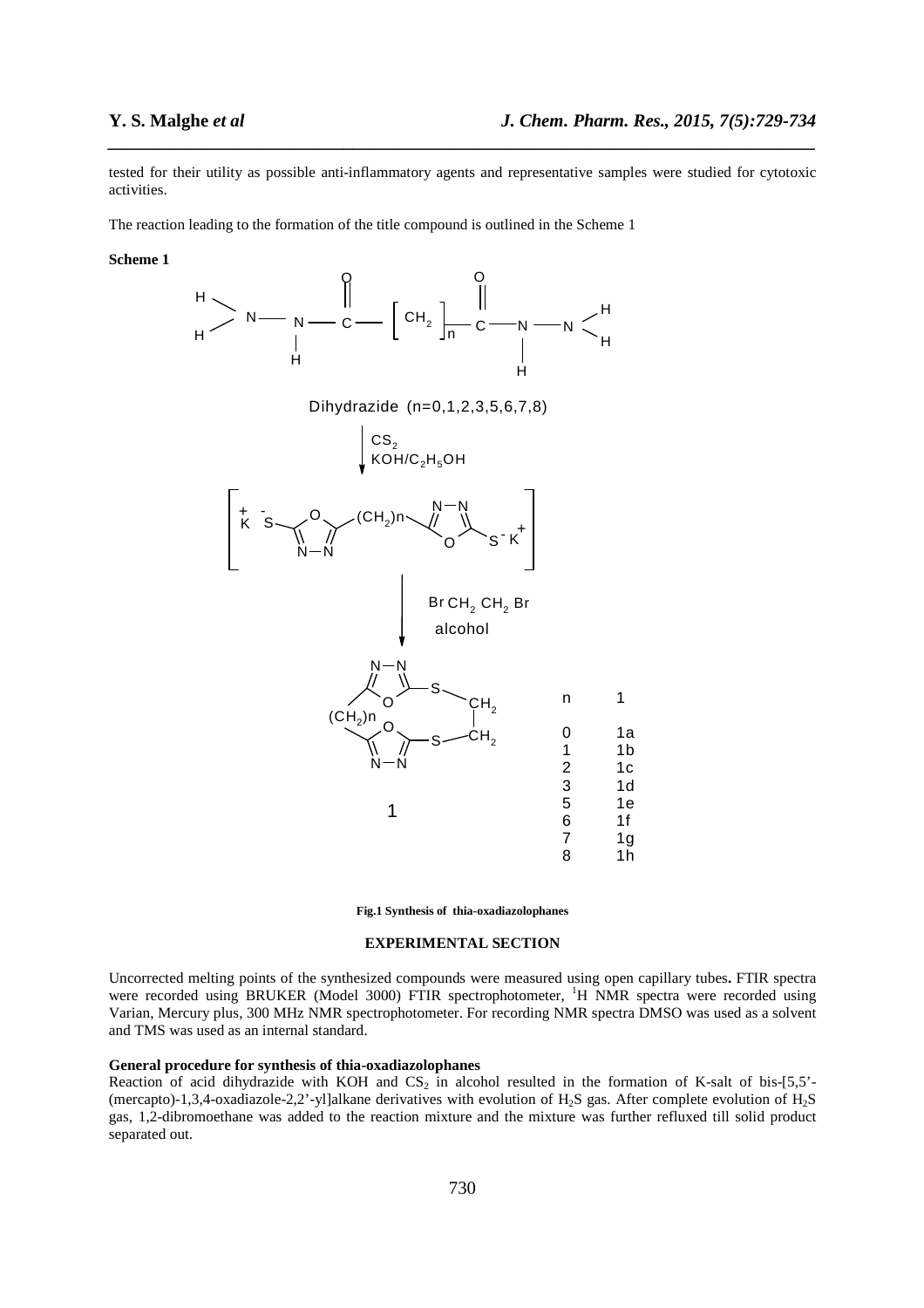tested for their utility as possible anti-inflammatory agents and representative samples were studied for cytotoxic activities.

*\_\_\_\_\_\_\_\_\_\_\_\_\_\_\_\_\_\_\_\_\_\_\_\_\_\_\_\_\_\_\_\_\_\_\_\_\_\_\_\_\_\_\_\_\_\_\_\_\_\_\_\_\_\_\_\_\_\_\_\_\_\_\_\_\_\_\_\_\_\_\_\_\_\_\_\_\_\_*

The reaction leading to the formation of the title compound is outlined in the Scheme 1

#### **Scheme 1**



**Fig.1 Synthesis of thia-oxadiazolophanes** 

# **EXPERIMENTAL SECTION**

Uncorrected melting points of the synthesized compounds were measured using open capillary tubes**.** FTIR spectra were recorded using BRUKER (Model 3000) FTIR spectrophotometer, <sup>1</sup>H NMR spectra were recorded using Varian, Mercury plus, 300 MHz NMR spectrophotometer. For recording NMR spectra DMSO was used as a solvent and TMS was used as an internal standard.

### **General procedure for synthesis of thia-oxadiazolophanes**

Reaction of acid dihydrazide with KOH and  $CS_2$  in alcohol resulted in the formation of K-salt of bis-[5,5'-(mercapto)-1,3,4-oxadiazole-2,2'-yl]alkane derivatives with evolution of H<sub>2</sub>S gas. After complete evolution of H<sub>2</sub>S gas, 1,2-dibromoethane was added to the reaction mixture and the mixture was further refluxed till solid product separated out.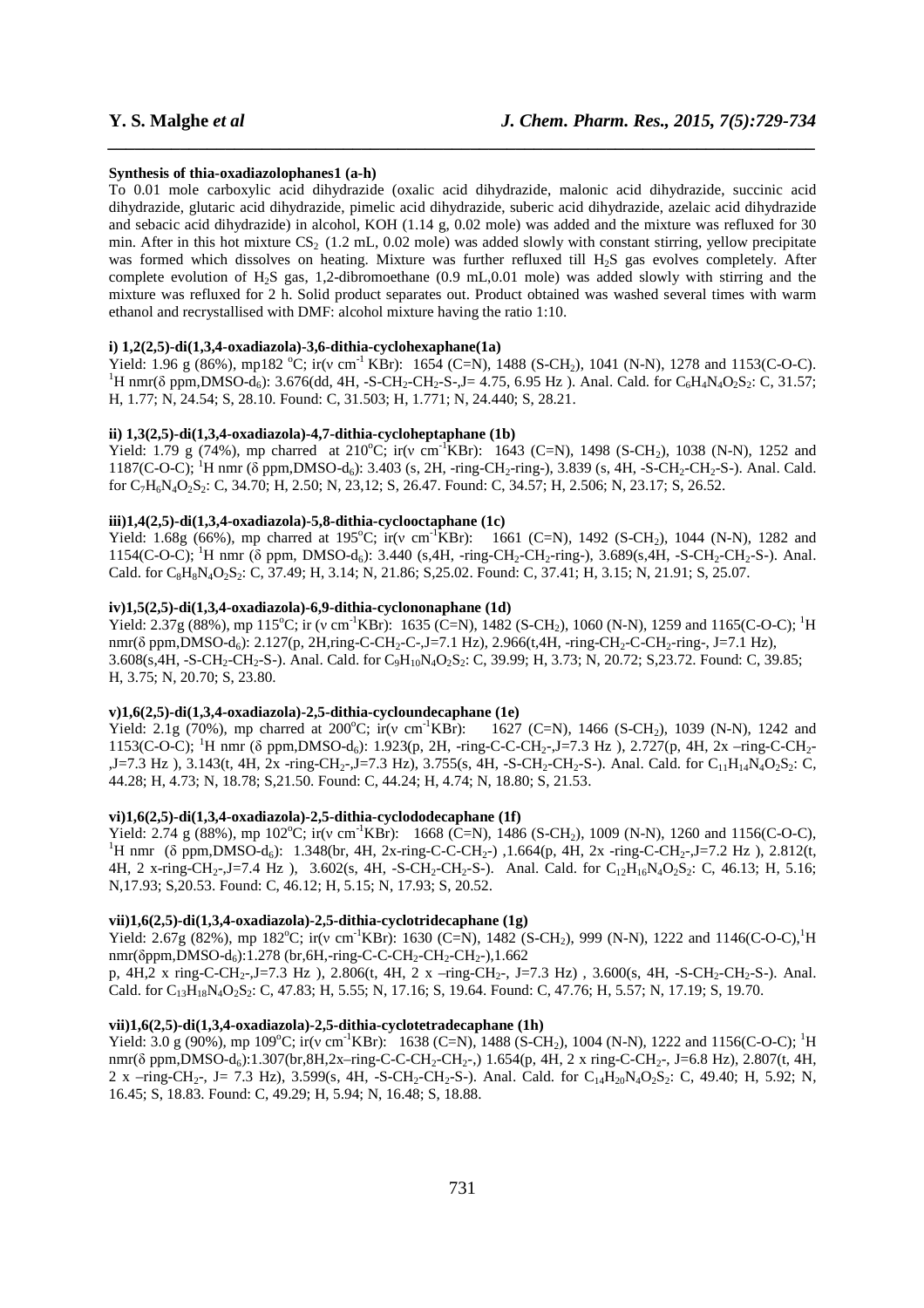#### **Synthesis of thia-oxadiazolophanes1 (a-h)**

To 0.01 mole carboxylic acid dihydrazide (oxalic acid dihydrazide, malonic acid dihydrazide, succinic acid dihydrazide, glutaric acid dihydrazide, pimelic acid dihydrazide, suberic acid dihydrazide, azelaic acid dihydrazide and sebacic acid dihydrazide) in alcohol, KOH (1.14 g, 0.02 mole) was added and the mixture was refluxed for 30 min. After in this hot mixture  $CS_2$  (1.2 mL, 0.02 mole) was added slowly with constant stirring, yellow precipitate was formed which dissolves on heating. Mixture was further refluxed till H<sub>2</sub>S gas evolves completely. After complete evolution of  $H_2S$  gas, 1,2-dibromoethane (0.9 mL,0.01 mole) was added slowly with stirring and the mixture was refluxed for 2 h. Solid product separates out. Product obtained was washed several times with warm ethanol and recrystallised with DMF: alcohol mixture having the ratio 1:10.

*\_\_\_\_\_\_\_\_\_\_\_\_\_\_\_\_\_\_\_\_\_\_\_\_\_\_\_\_\_\_\_\_\_\_\_\_\_\_\_\_\_\_\_\_\_\_\_\_\_\_\_\_\_\_\_\_\_\_\_\_\_\_\_\_\_\_\_\_\_\_\_\_\_\_\_\_\_\_*

#### **i) 1,2(2,5)-di(1,3,4-oxadiazola)-3,6-dithia-cyclohexaphane(1a)**

Yield: 1.96 g (86%), mp182 °C; ir(v cm<sup>-1</sup> KBr): 1654 (C=N), 1488 (S-CH<sub>2</sub>), 1041 (N-N), 1278 and 1153(C-O-C). <sup>1</sup>H nmr( $\delta$  ppm,DMSO-d<sub>6</sub>): 3.676(dd, 4H, -S-CH<sub>2</sub>-CH<sub>2</sub>-S-,J= 4.75, 6.95 Hz ). Anal. Cald. for C<sub>6</sub>H<sub>4</sub>N<sub>4</sub>O<sub>2</sub>S<sub>2</sub>: C, 31.57; H, 1.77; N, 24.54; S, 28.10. Found: C, 31.503; H, 1.771; N, 24.440; S, 28.21.

#### **ii) 1,3(2,5)-di(1,3,4-oxadiazola)-4,7-dithia-cycloheptaphane (1b)**

Yield: 1.79 g (74%), mp charred at 210<sup>o</sup>C; ir(v cm<sup>-1</sup>KBr): 1643 (C=N), 1498 (S-CH<sub>2</sub>), 1038 (N-N), 1252 and 1187(C-O-C); <sup>1</sup>H nmr ( $\delta$  ppm,DMSO-d<sub>6</sub>): 3.403 (s, 2H, -ring-CH<sub>2</sub>-ring-), 3.839 (s, 4H, -S-CH<sub>2</sub>-CH<sub>2</sub>-S-). Anal. Cald. for C7H6N4O2S2: C, 34.70; H, 2.50; N, 23,12; S, 26.47. Found: C, 34.57; H, 2.506; N, 23.17; S, 26.52.

#### **iii)1,4(2,5)-di(1,3,4-oxadiazola)-5,8-dithia-cyclooctaphane (1c)**

Yield: 1.68g (66%), mp charred at 195<sup>o</sup>C;  $ir(v \text{ cm}^{-1}$ KBr): 1661 (C=N), 1492 (S-CH<sub>2</sub>), 1044 (N-N), 1282 and 1154(C-O-C);<sup>1</sup>H nmr (δ ppm, DMSO-d<sub>6</sub>): 3.440 (s,4H, -ring-CH<sub>2</sub>-CH<sub>2</sub>-ring-), 3.689(s,4H, -S-CH<sub>2</sub>-CH<sub>2</sub>-S-). Anal. Cald. for C<sub>8</sub>H<sub>8</sub>N<sub>4</sub>O<sub>2</sub>S<sub>2</sub>: C, 37.49; H, 3.14; N, 21.86; S, 25.02. Found: C, 37.41; H, 3.15; N, 21.91; S, 25.07.

### **iv)1,5(2,5)-di(1,3,4-oxadiazola)-6,9-dithia-cyclononaphane (1d)**

Yield: 2.37g (88%), mp 115<sup>o</sup>C; ir (v cm<sup>-1</sup>KBr): 1635 (C=N), 1482 (S-CH<sub>2</sub>), 1060 (N-N), 1259 and 1165(C-O-C); <sup>1</sup>H nmr(δ ppm,DMSO-d<sub>6</sub>): 2.127(p, 2H,ring-C-CH<sub>2</sub>-C-,J=7.1 Hz), 2.966(t,4H, -ring-CH<sub>2</sub>-C-CH<sub>2</sub>-ring-, J=7.1 Hz), 3.608(s,4H, -S-CH2-CH2-S-). Anal. Cald. for C9H10N4O2S2: C, 39.99; H, 3.73; N, 20.72; S,23.72. Found: C, 39.85; H, 3.75; N, 20.70; S, 23.80.

# **v)1,6(2,5)-di(1,3,4-oxadiazola)-2,5-dithia-cycloundecaphane (1e)**

Yield: 2.1g (70%), mp charred at 200°C;  $ir(v \text{ cm}^{-1} \text{KBr})$ : 1627 (C=N), 1466 (S-CH<sub>2</sub>), 1039 (N-N), 1242 and 1153(C-O-C); <sup>1</sup>H nmr (δ ppm,DMSO-d6): 1.923(p, 2H, -ring-C-C-CH2-,J=7.3 Hz ), 2.727(p, 4H, 2x –ring-C-CH2-  $J=-7.3$  Hz ),  $3.143(t, 4H, 2x -1)$  -ring-CH<sub>2</sub>- $J=-7.3$  Hz),  $3.755(s, 4H, -S-CH<sub>2</sub>-CH<sub>2</sub>-CH<sub>2</sub>-S<sub>2</sub>)$ . Anal. Cald. for  $C_{11}H_{14}N_4O_2S_2$ : C, 44.28; H, 4.73; N, 18.78; S,21.50. Found: C, 44.24; H, 4.74; N, 18.80; S, 21.53.

### **vi)1,6(2,5)-di(1,3,4-oxadiazola)-2,5-dithia-cyclododecaphane (1f)**

Yield:  $2.74$  g (88%), mp 102°C; ir(v cm<sup>-1</sup>KBr): 1668 (C=N), 1486 (S-CH<sub>2</sub>), 1009 (N-N), 1260 and 1156(C-O-C), <sup>1</sup>H nmr (δ ppm,DMSO-d<sub>6</sub>): 1.348(br, 4H, 2x-ring-C-C-CH<sub>2</sub>-), 1.664(p, 4H, 2x -ring-C-CH<sub>2</sub>-, J=7.2 Hz), 2.812(t, 4H, 2 x-ring-CH<sub>2</sub>-,J=7.4 Hz ), 3.602(s, 4H, -S-CH<sub>2</sub>-CH<sub>2</sub>-S-). Anal. Cald. for C<sub>12</sub>H<sub>16</sub>N<sub>4</sub>O<sub>2</sub>S<sub>2</sub>: C, 46.13; H, 5.16; N,17.93; S,20.53. Found: C, 46.12; H, 5.15; N, 17.93; S, 20.52.

# **vii)1,6(2,5)-di(1,3,4-oxadiazola)-2,5-dithia-cyclotridecaphane (1g)**

Yield: 2.67g (82%), mp 182<sup>o</sup>C; ir(v cm<sup>-1</sup>KBr): 1630 (C=N), 1482 (S-CH<sub>2</sub>), 999 (N-N), 1222 and 1146(C-O-C),<sup>1</sup>H nmr( $\delta$ ppm,DMSO-d<sub>6</sub>):1.278 (br,6H,-ring-C-C-CH<sub>2</sub>-CH<sub>2</sub>-CH<sub>2</sub>-),1.662

p, 4H,2 x ring-C-CH<sub>2</sub>-,J=7.3 Hz ), 2.806(t, 4H, 2 x –ring-CH<sub>2</sub>-, J=7.3 Hz), 3.600(s, 4H, -S-CH<sub>2</sub>-CH<sub>2</sub>-S-). Anal. Cald. for C<sub>13</sub>H<sub>18</sub>N<sub>4</sub>O<sub>2</sub>S<sub>2</sub>: C, 47.83; H, 5.55; N, 17.16; S, 19.64. Found: C, 47.76; H, 5.57; N, 17.19; S, 19.70.

### **vii)1,6(2,5)-di(1,3,4-oxadiazola)-2,5-dithia-cyclotetradecaphane (1h)**

Yield: 3.0 g (90%), mp 109°C; ir(v cm<sup>-1</sup>KBr): 1638 (C=N), 1488 (S-CH<sub>2</sub>), 1004 (N-N), 1222 and 1156(C-O-C); <sup>1</sup>H nmr(δ ppm,DMSO-d<sub>6</sub>):1.307(br,8H,2x–ring-C-C-CH<sub>2</sub>-CH<sub>2</sub>-,) 1.654(p, 4H, 2 x ring-C-CH<sub>2</sub>-, J=6.8 Hz), 2.807(t, 4H, 2 x –ring-CH<sub>2</sub>-, J= 7.3 Hz), 3.599(s, 4H, -S-CH<sub>2</sub>-CH<sub>2</sub>-S-). Anal. Cald. for C<sub>14</sub>H<sub>20</sub>N<sub>4</sub>O<sub>2</sub>S<sub>2</sub>: C, 49.40; H, 5.92; N, 16.45; S, 18.83. Found: C, 49.29; H, 5.94; N, 16.48; S, 18.88.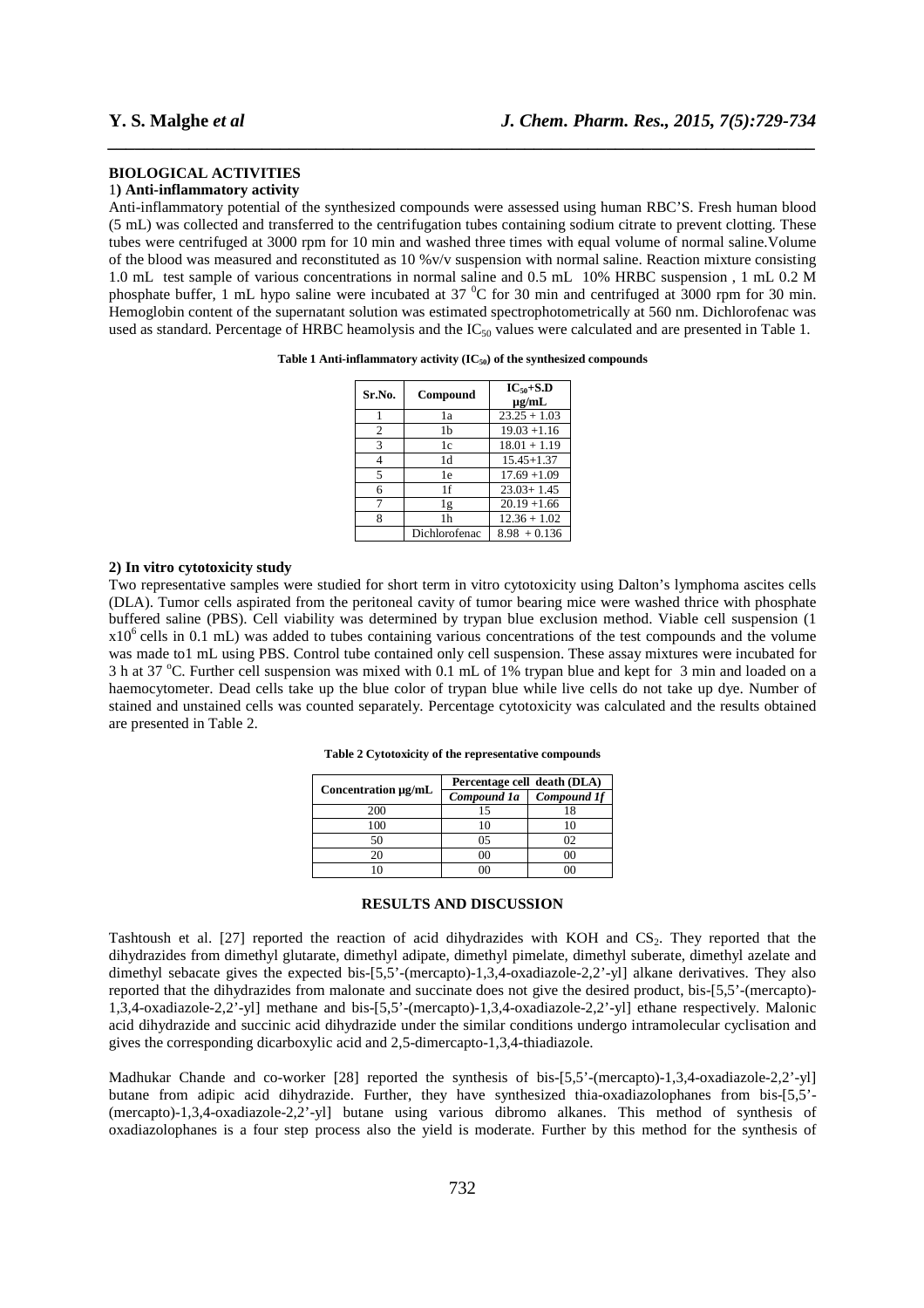# **BIOLOGICAL ACTIVITIES**

#### 1**) Anti-inflammatory activity**

Anti-inflammatory potential of the synthesized compounds were assessed using human RBC'S. Fresh human blood (5 mL) was collected and transferred to the centrifugation tubes containing sodium citrate to prevent clotting. These tubes were centrifuged at 3000 rpm for 10 min and washed three times with equal volume of normal saline.Volume of the blood was measured and reconstituted as 10 %v/v suspension with normal saline. Reaction mixture consisting 1.0 mL test sample of various concentrations in normal saline and 0.5 mL 10% HRBC suspension , 1 mL 0.2 M phosphate buffer, 1 mL hypo saline were incubated at 37 <sup>o</sup>C for 30 min and centrifuged at 3000 rpm for 30 min. Hemoglobin content of the supernatant solution was estimated spectrophotometrically at 560 nm. Dichlorofenac was used as standard. Percentage of HRBC heamolysis and the IC<sub>50</sub> values were calculated and are presented in Table 1.

*\_\_\_\_\_\_\_\_\_\_\_\_\_\_\_\_\_\_\_\_\_\_\_\_\_\_\_\_\_\_\_\_\_\_\_\_\_\_\_\_\_\_\_\_\_\_\_\_\_\_\_\_\_\_\_\_\_\_\_\_\_\_\_\_\_\_\_\_\_\_\_\_\_\_\_\_\_\_*

| Table 1 Anti-inflammatory activity $(IC_{50})$ of the synthesized compounds |  |  |  |
|-----------------------------------------------------------------------------|--|--|--|
|-----------------------------------------------------------------------------|--|--|--|

| Sr.No.         | Compound      | $IC_{50}+S.D$<br>$\mu$ g/mL |
|----------------|---------------|-----------------------------|
|                | 1a            | $23.25 + 1.03$              |
| 2              | 1b            | $19.03 + 1.16$              |
| 3              | 1c            | $18.01 + 1.19$              |
| $\overline{4}$ | 1d            | $15.45 + 1.37$              |
| 5              | 1e            | $17.69 + 1.09$              |
| 6              | 1f            | $23.03 + 1.45$              |
| 7              | 1g            | $20.19 + 1.66$              |
| 8              | 1h            | $12.36 + 1.02$              |
|                | Dichlorofenac | $8.98 + 0.136$              |

# **2) In vitro cytotoxicity study**

Two representative samples were studied for short term in vitro cytotoxicity using Dalton's lymphoma ascites cells (DLA). Tumor cells aspirated from the peritoneal cavity of tumor bearing mice were washed thrice with phosphate buffered saline (PBS). Cell viability was determined by trypan blue exclusion method. Viable cell suspension (1  $x10<sup>6</sup>$  cells in 0.1 mL) was added to tubes containing various concentrations of the test compounds and the volume was made to1 mL using PBS. Control tube contained only cell suspension. These assay mixtures were incubated for 3 h at 37 °C. Further cell suspension was mixed with 0.1 mL of 1% trypan blue and kept for 3 min and loaded on a haemocytometer. Dead cells take up the blue color of trypan blue while live cells do not take up dye. Number of stained and unstained cells was counted separately. Percentage cytotoxicity was calculated and the results obtained are presented in Table 2.

| Table 2 Cytotoxicity of the representative compounds |  |  |
|------------------------------------------------------|--|--|
|                                                      |  |  |

|                     | Percentage cell death (DLA) |                    |  |
|---------------------|-----------------------------|--------------------|--|
| Concentration µg/mL | Compound 1a                 | <b>Compound 1f</b> |  |
| 200                 |                             | 18                 |  |
| 100                 |                             |                    |  |
| 50                  | 05                          | 02                 |  |
| 20                  |                             | $($ )(             |  |
|                     |                             |                    |  |

#### **RESULTS AND DISCUSSION**

Tashtoush et al.  $[27]$  reported the reaction of acid dihydrazides with KOH and  $CS<sub>2</sub>$ . They reported that the dihydrazides from dimethyl glutarate, dimethyl adipate, dimethyl pimelate, dimethyl suberate, dimethyl azelate and dimethyl sebacate gives the expected bis-[5,5'-(mercapto)-1,3,4-oxadiazole-2,2'-yl] alkane derivatives. They also reported that the dihydrazides from malonate and succinate does not give the desired product, bis-[5,5'-(mercapto)- 1,3,4-oxadiazole-2,2'-yl] methane and bis-[5,5'-(mercapto)-1,3,4-oxadiazole-2,2'-yl] ethane respectively. Malonic acid dihydrazide and succinic acid dihydrazide under the similar conditions undergo intramolecular cyclisation and gives the corresponding dicarboxylic acid and 2,5-dimercapto-1,3,4-thiadiazole.

Madhukar Chande and co-worker [28] reported the synthesis of bis-[5,5'-(mercapto)-1,3,4-oxadiazole-2,2'-yl] butane from adipic acid dihydrazide. Further, they have synthesized thia-oxadiazolophanes from bis-[5,5'- (mercapto)-1,3,4-oxadiazole-2,2'-yl] butane using various dibromo alkanes. This method of synthesis of oxadiazolophanes is a four step process also the yield is moderate. Further by this method for the synthesis of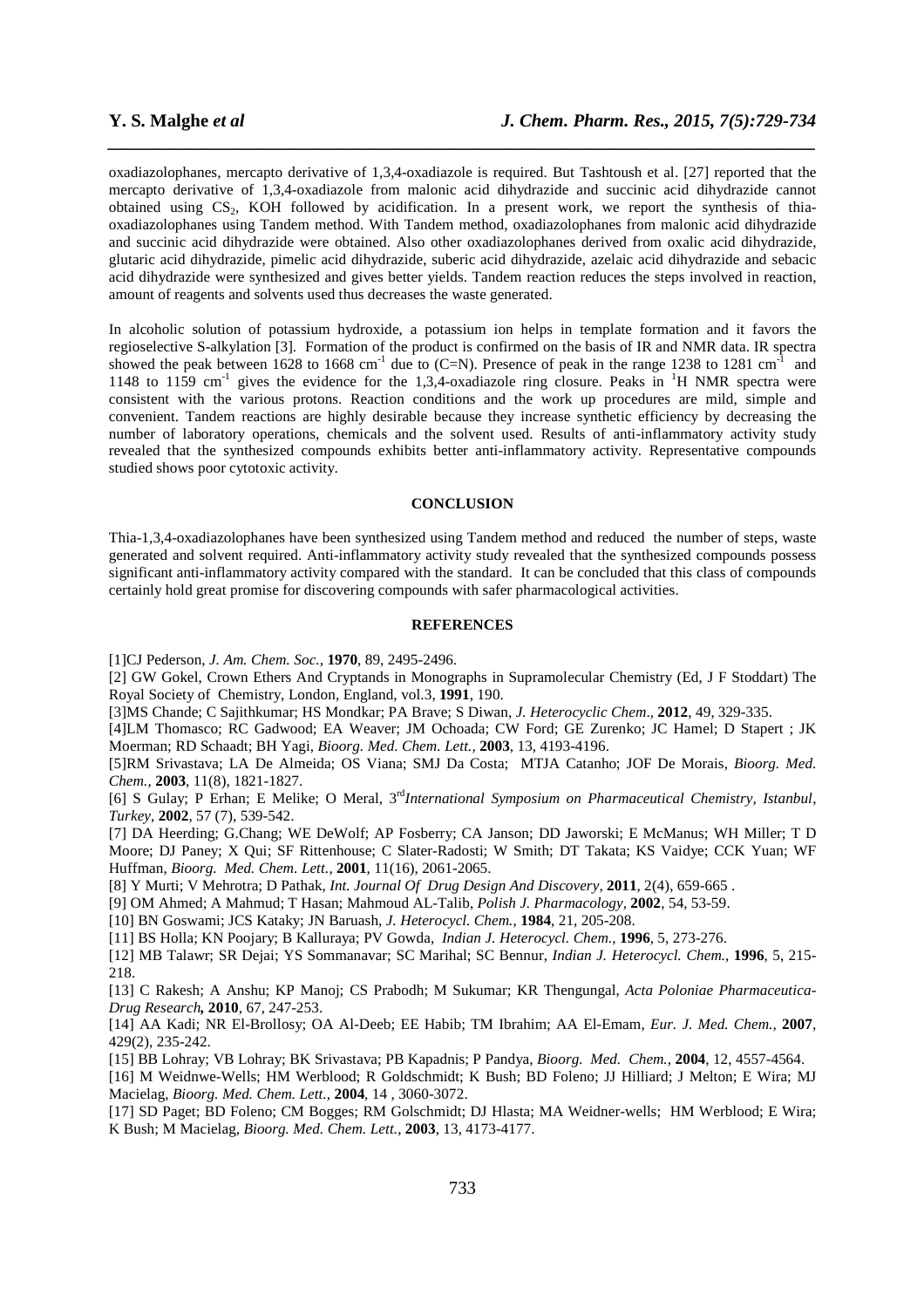oxadiazolophanes, mercapto derivative of 1,3,4-oxadiazole is required. But Tashtoush et al. [27] reported that the mercapto derivative of 1,3,4-oxadiazole from malonic acid dihydrazide and succinic acid dihydrazide cannot obtained using  $CS_2$ , KOH followed by acidification. In a present work, we report the synthesis of thiaoxadiazolophanes using Tandem method. With Tandem method, oxadiazolophanes from malonic acid dihydrazide and succinic acid dihydrazide were obtained. Also other oxadiazolophanes derived from oxalic acid dihydrazide, glutaric acid dihydrazide, pimelic acid dihydrazide, suberic acid dihydrazide, azelaic acid dihydrazide and sebacic acid dihydrazide were synthesized and gives better yields. Tandem reaction reduces the steps involved in reaction, amount of reagents and solvents used thus decreases the waste generated.

*\_\_\_\_\_\_\_\_\_\_\_\_\_\_\_\_\_\_\_\_\_\_\_\_\_\_\_\_\_\_\_\_\_\_\_\_\_\_\_\_\_\_\_\_\_\_\_\_\_\_\_\_\_\_\_\_\_\_\_\_\_\_\_\_\_\_\_\_\_\_\_\_\_\_\_\_\_\_*

In alcoholic solution of potassium hydroxide, a potassium ion helps in template formation and it favors the regioselective S-alkylation [3]. Formation of the product is confirmed on the basis of IR and NMR data. IR spectra showed the peak between 1628 to 1668 cm<sup>-1</sup> due to (C=N). Presence of peak in the range 1238 to 1281 cm<sup>-1</sup> and 1148 to 1159 cm<sup>-1</sup> gives the evidence for the 1,3,4-oxadiazole ring closure. Peaks in <sup>1</sup>H NMR spectra were consistent with the various protons. Reaction conditions and the work up procedures are mild, simple and convenient. Tandem reactions are highly desirable because they increase synthetic efficiency by decreasing the number of laboratory operations, chemicals and the solvent used. Results of anti-inflammatory activity study revealed that the synthesized compounds exhibits better anti-inflammatory activity. Representative compounds studied shows poor cytotoxic activity.

# **CONCLUSION**

Thia-1,3,4-oxadiazolophanes have been synthesized using Tandem method and reduced the number of steps, waste generated and solvent required. Anti-inflammatory activity study revealed that the synthesized compounds possess significant anti-inflammatory activity compared with the standard. It can be concluded that this class of compounds certainly hold great promise for discovering compounds with safer pharmacological activities.

# **REFERENCES**

[1]CJ Pederson, *J. Am. Chem. Soc.*, **1970**, 89, 2495-2496.

[2] GW Gokel, Crown Ethers And Cryptands in Monographs in Supramolecular Chemistry (Ed, J F Stoddart) The Royal Society of Chemistry, London, England, vol.3, **1991**, 190.

[3]MS Chande; C Sajithkumar; HS Mondkar; PA Brave; S Diwan, *J. Heterocyclic Chem*., **2012**, 49, 329-335.

[4]LM Thomasco; RC Gadwood; EA Weaver; JM Ochoada; CW Ford; GE Zurenko; JC Hamel; D Stapert ; JK Moerman; RD Schaadt; BH Yagi, *Bioorg. Med. Chem. Lett.,* **2003**, 13, 4193-4196.

[5]RM Srivastava; LA De Almeida; OS Viana; SMJ Da Costa; MTJA Catanho; JOF De Morais, *Bioorg. Med. Chem.*, **2003**, 11(8), 1821-1827.

[6] S Gulay; P Erhan; E Melike; O Meral, 3rd*International Symposium on Pharmaceutical Chemistry, Istanbul*, *Turkey*, **2002**, 57 (7), 539-542.

[7] DA Heerding; G.Chang; WE DeWolf; AP Fosberry; CA Janson; DD Jaworski; E McManus; WH Miller; T D Moore; DJ Paney; X Qui; SF Rittenhouse; C Slater-Radosti; W Smith; DT Takata; KS Vaidye; CCK Yuan; WF Huffman, *Bioorg. Med. Chem. Lett.*, **2001**, 11(16), 2061-2065.

[8] Y Murti; V Mehrotra; D Pathak, *Int. Journal Of Drug Design And Discovery,* **2011**, 2(4), 659-665 .

[9] OM Ahmed; A Mahmud; T Hasan; Mahmoud AL-Talib, *Polish J. Pharmacology*, **2002**, 54, 53-59.

[10] BN Goswami; JCS Kataky; JN Baruash, *J. Heterocycl. Chem.*, **1984**, 21, 205-208.

[11] BS Holla; KN Poojary; B Kalluraya; PV Gowda, *Indian J. Heterocycl. Chem.*, **1996**, 5, 273-276.

[12] MB Talawr; SR Dejai; YS Sommanavar; SC Marihal; SC Bennur, *Indian J. Heterocycl. Chem.*, **1996**, 5, 215- 218.

[13] C Rakesh; A Anshu; KP Manoj; CS Prabodh; M Sukumar; KR Thengungal, *Acta Poloniae Pharmaceutica-Drug Research,* **2010**, 67, 247-253.

[14] AA Kadi; NR El-Brollosy; OA Al-Deeb; EE Habib; TM Ibrahim; AA El-Emam, *Eur. J. Med. Chem.,* **2007**, 429(2), 235-242.

[15] BB Lohray; VB Lohray; BK Srivastava; PB Kapadnis; P Pandya, *Bioorg. Med. Chem.*, **2004**, 12, 4557-4564.

[16] M Weidnwe-Wells; HM Werblood; R Goldschmidt; K Bush; BD Foleno; JJ Hilliard; J Melton; E Wira; MJ Macielag, *Bioorg. Med. Chem. Lett.,* **2004**, 14 , 3060-3072.

[17] SD Paget; BD Foleno; CM Bogges; RM Golschmidt; DJ Hlasta; MA Weidner-wells; HM Werblood; E Wira; K Bush; M Macielag, *Bioorg. Med. Chem. Lett.,* **2003**, 13, 4173-4177.